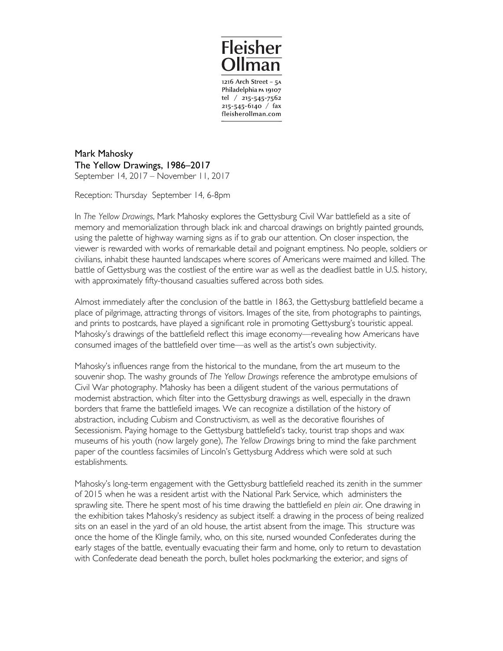

Philadelphia PA 19107 tel / 215-545-7562  $215 - 545 - 6140$  / fax fleisherollman.com

Mark Mahosky The Yellow Drawings, 1986–2017 September 14, 2017 – November 11, 2017

Reception: Thursday September 14, 6-8pm

In *The Yellow Drawings*, Mark Mahosky explores the Gettysburg Civil War battlefield as a site of memory and memorialization through black ink and charcoal drawings on brightly painted grounds, using the palette of highway warning signs as if to grab our attention. On closer inspection, the viewer is rewarded with works of remarkable detail and poignant emptiness. No people, soldiers or civilians, inhabit these haunted landscapes where scores of Americans were maimed and killed. The battle of Gettysburg was the costliest of the entire war as well as the deadliest battle in U.S. history, with approximately fifty-thousand casualties suffered across both sides.

Almost immediately after the conclusion of the battle in 1863, the Gettysburg battlefield became a place of pilgrimage, attracting throngs of visitors. Images of the site, from photographs to paintings, and prints to postcards, have played a significant role in promoting Gettysburg's touristic appeal. Mahosky's drawings of the battlefield reflect this image economy—revealing how Americans have consumed images of the battlefield over time—as well as the artist's own subjectivity.

Mahosky's influences range from the historical to the mundane, from the art museum to the souvenir shop. The washy grounds of *The Yellow Drawings* reference the ambrotype emulsions of Civil War photography. Mahosky has been a diligent student of the various permutations of modernist abstraction, which filter into the Gettysburg drawings as well, especially in the drawn borders that frame the battlefield images. We can recognize a distillation of the history of abstraction, including Cubism and Constructivism, as well as the decorative flourishes of Secessionism. Paying homage to the Gettysburg battlefield's tacky, tourist trap shops and wax museums of his youth (now largely gone), *The Yellow Drawings* bring to mind the fake parchment paper of the countless facsimiles of Lincoln's Gettysburg Address which were sold at such establishments.

Mahosky's long-term engagement with the Gettysburg battlefield reached its zenith in the summer of 2015 when he was a resident artist with the National Park Service, which administers the sprawling site. There he spent most of his time drawing the battlefield *en plein air*. One drawing in the exhibition takes Mahosky's residency as subject itself: a drawing in the process of being realized sits on an easel in the yard of an old house, the artist absent from the image. This structure was once the home of the Klingle family, who, on this site, nursed wounded Confederates during the early stages of the battle, eventually evacuating their farm and home, only to return to devastation with Confederate dead beneath the porch, bullet holes pockmarking the exterior, and signs of